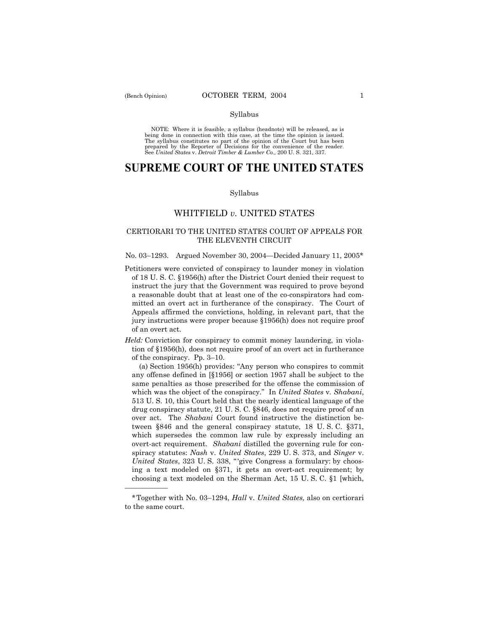### Syllabus

NOTE: Where it is feasible, a syllabus (headnote) will be released, as is being done in connection with this case, at the time the opinion is issued. The syllabus constitutes no part of the opinion of the Court but has been<br>prepared by the Reporter of Decisions for the convenience of the reader.<br>See United States v. Detroit Timber & Lumber Co., 200 U. S. 321, 337.

# **SUPREME COURT OF THE UNITED STATES**

#### Syllabus

## WHITFIELD *v.* UNITED STATES

## CERTIORARI TO THE UNITED STATES COURT OF APPEALS FOR THE ELEVENTH CIRCUIT

## No. 03–1293. Argued November 30, 2004–Decided January 11, 2005\*

Petitioners were convicted of conspiracy to launder money in violation of 18 U. S. C. ß1956(h) after the District Court denied their request to instruct the jury that the Government was required to prove beyond a reasonable doubt that at least one of the co-conspirators had committed an overt act in furtherance of the conspiracy. The Court of Appeals affirmed the convictions, holding, in relevant part, that the jury instructions were proper because ß1956(h) does not require proof of an overt act.

*Held:* Conviction for conspiracy to commit money laundering, in violation of ß1956(h), does not require proof of an overt act in furtherance of the conspiracy. Pp.  $3-10$ .

(a) Section  $1956(h)$  provides: "Any person who conspires to commit any offense defined in [ß1956] or section 1957 shall be subject to the same penalties as those prescribed for the offense the commission of which was the object of the conspiracy.î In *United States* v*. Shabani*, 513 U. S. 10, this Court held that the nearly identical language of the drug conspiracy statute, 21 U. S. C. ß846, does not require proof of an over act. The *Shabani* Court found instructive the distinction between ß846 and the general conspiracy statute, 18 U. S. C. ß371, which supersedes the common law rule by expressly including an overt-act requirement. *Shabani* distilled the governing rule for conspiracy statutes: *Nash* v. *United States*, 229 U. S. 373, and *Singer* v. *United States*, 323 U.S. 338, "give Congress a formulary: by choosing a text modeled on ß371, it gets an overt-act requirement; by choosing a text modeled on the Sherman Act, 15 U. S. C. ß1 [which,

<u>óóóóóóóóóóóóóó</u>

<sup>\*</sup>Together with No. 03ñ1294, *Hall* v. *United States,* also on certiorari to the same court.